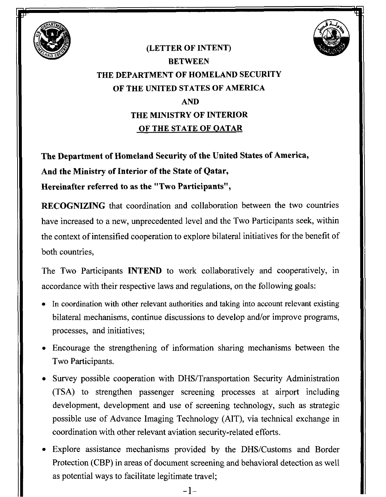



## **(LETTER OF INTENT) BETWEEN THE DEPARTMENT OF HOMELAND SECURITY OF THE UNITED STATES OF AMERICA AND THE MINISTRY OF INTERIOR OF THE STATE OF OATAR**

**The Department of Homeland Security of the United States of America, And the Ministry of Interior of the State of Qatar, Hereinafter referred to as the "Two Participants",** 

**RECOGNIZING** that coordination and collaboration between the two countries have increased to a new, unprecedented level and the Two Participants seek, within the context of intensified cooperation to explore bilateral initiatives for the benefit of both countries,

The Two Participants INTEND to work collaboratively and cooperatively, in accordance with their respective laws and regulations, on the following goals:

- In coordination with other relevant authorities and taking into account relevant existing bilateral mechanisms, continue discussions to develop and/or improve programs, processes, and initiatives;
- Encourage the strengthening of information sharing mechanisms between the Two Participants.
- Survey possible cooperation with DHS/Transportation Security Administration (TSA) to strengthen passenger screening processes at airport including development, development and use of screening technology, such as strategic possible use of Advance Imaging Technology (AIT), via technical exchange in coordination with other relevant aviation security-related efforts.
- Explore assistance mechanisms provided by the DHS/Customs and Border Protection (CBP) in areas of document screening and behavioral detection as well as potential ways to facilitate legitimate travel;